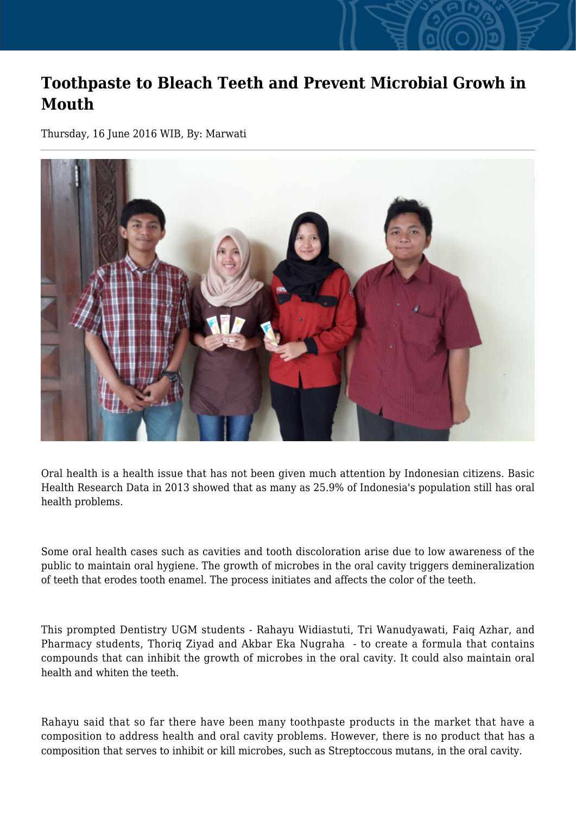## **Toothpaste to Bleach Teeth and Prevent Microbial Growh in Mouth**

Thursday, 16 June 2016 WIB, By: Marwati



Oral health is a health issue that has not been given much attention by Indonesian citizens. Basic Health Research Data in 2013 showed that as many as 25.9% of Indonesia's population still has oral health problems.

Some oral health cases such as cavities and tooth discoloration arise due to low awareness of the public to maintain oral hygiene. The growth of microbes in the oral cavity triggers demineralization of teeth that erodes tooth enamel. The process initiates and affects the color of the teeth.

This prompted Dentistry UGM students - Rahayu Widiastuti, Tri Wanudyawati, Faiq Azhar, and Pharmacy students, Thoriq Ziyad and Akbar Eka Nugraha - to create a formula that contains compounds that can inhibit the growth of microbes in the oral cavity. It could also maintain oral health and whiten the teeth.

Rahayu said that so far there have been many toothpaste products in the market that have a composition to address health and oral cavity problems. However, there is no product that has a composition that serves to inhibit or kill microbes, such as Streptoccous mutans, in the oral cavity.